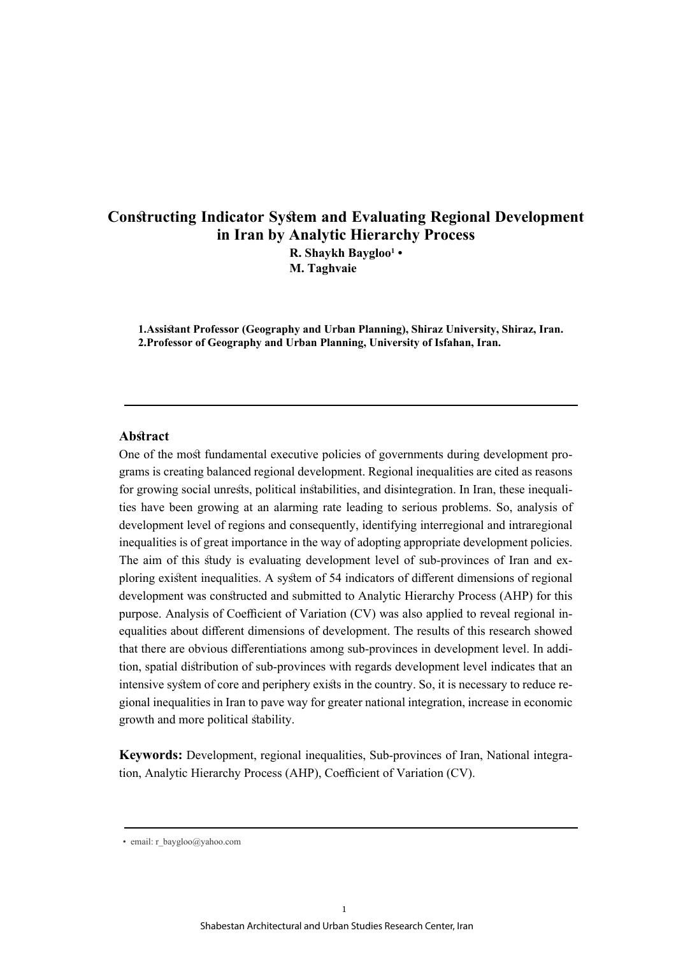# **Constructing Indicator System and Evaluating Regional Development in Iran by Analytic Hierarchy Process R. Shaykh Baygloo<sup>1</sup> •**

**M. Taghvaie**

**1.Assistant Professor (Geography and Urban Planning), Shiraz University, Shiraz, Iran. 2.Professor of Geography and Urban Planning, University of Isfahan, Iran.** 

### **Abstract**

One of the most fundamental executive policies of governments during development programs is creating balanced regional development. Regional inequalities are cited as reasons for growing social unrests, political instabilities, and disintegration. In Iran, these inequalities have been growing at an alarming rate leading to serious problems. So, analysis of development level of regions and consequently, identifying interregional and intraregional inequalities is of great importance in the way of adopting appropriate development policies. The aim of this study is evaluating development level of sub-provinces of Iran and exploring existent inequalities. A system of 54 indicators of different dimensions of regional development was constructed and submitted to Analytic Hierarchy Process (AHP) for this purpose. Analysis of Coefficient of Variation (CV) was also applied to reveal regional inequalities about different dimensions of development. The results of this research showed that there are obvious differentiations among sub-provinces in development level. In addition, spatial distribution of sub-provinces with regards development level indicates that an intensive system of core and periphery exists in the country. So, it is necessary to reduce regional inequalities in Iran to pave way for greater national integration, increase in economic growth and more political stability.

**Keywords:** Development, regional inequalities, Sub-provinces of Iran, National integration, Analytic Hierarchy Process (AHP), Coefficient of Variation (CV).

<sup>•</sup> email: r\_baygloo@yahoo.com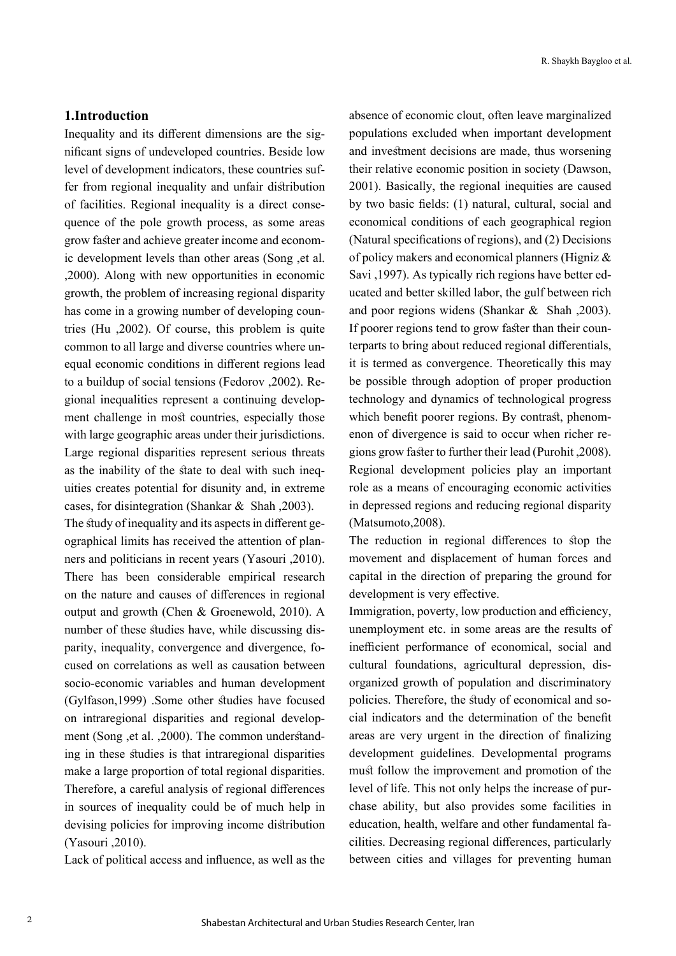## **1.Introduction**

Inequality and its different dimensions are the significant signs of undeveloped countries. Beside low level of development indicators, these countries suffer from regional inequality and unfair distribution of facilities. Regional inequality is a direct consequence of the pole growth process, as some areas grow faster and achieve greater income and economic development levels than other areas (Song ,et al. ,2000). Along with new opportunities in economic growth, the problem of increasing regional disparity has come in a growing number of developing countries (Hu ,2002). Of course, this problem is quite common to all large and diverse countries where unequal economic conditions in different regions lead to a buildup of social tensions (Fedorov ,2002). Regional inequalities represent a continuing development challenge in most countries, especially those with large geographic areas under their jurisdictions. Large regional disparities represent serious threats as the inability of the state to deal with such inequities creates potential for disunity and, in extreme cases, for disintegration (Shankar & Shah ,2003).

The study of inequality and its aspects in different geographical limits has received the attention of planners and politicians in recent years (Yasouri ,2010). There has been considerable empirical research on the nature and causes of differences in regional output and growth (Chen & Groenewold, 2010). A number of these studies have, while discussing disparity, inequality, convergence and divergence, focused on correlations as well as causation between socio-economic variables and human development (Gylfason,1999) .Some other studies have focused on intraregional disparities and regional development (Song ,et al. ,2000). The common understanding in these studies is that intraregional disparities make a large proportion of total regional disparities. Therefore, a careful analysis of regional differences in sources of inequality could be of much help in devising policies for improving income distribution (Yasouri ,2010).

Lack of political access and influence, as well as the

absence of economic clout, often leave marginalized populations excluded when important development and investment decisions are made, thus worsening their relative economic position in society (Dawson, 2001). Basically, the regional inequities are caused by two basic fields: (1) natural, cultural, social and economical conditions of each geographical region (Natural specifications of regions), and (2) Decisions of policy makers and economical planners (Higniz & Savi ,1997). As typically rich regions have better educated and better skilled labor, the gulf between rich and poor regions widens (Shankar & Shah ,2003). If poorer regions tend to grow faster than their counterparts to bring about reduced regional differentials, it is termed as convergence. Theoretically this may be possible through adoption of proper production technology and dynamics of technological progress which benefit poorer regions. By contrast, phenomenon of divergence is said to occur when richer regions grow faster to further their lead (Purohit ,2008). Regional development policies play an important role as a means of encouraging economic activities in depressed regions and reducing regional disparity (Matsumoto,2008).

The reduction in regional differences to stop the movement and displacement of human forces and capital in the direction of preparing the ground for development is very effective.

Immigration, poverty, low production and efficiency, unemployment etc. in some areas are the results of inefficient performance of economical, social and cultural foundations, agricultural depression, disorganized growth of population and discriminatory policies. Therefore, the study of economical and social indicators and the determination of the benefit areas are very urgent in the direction of finalizing development guidelines. Developmental programs must follow the improvement and promotion of the level of life. This not only helps the increase of purchase ability, but also provides some facilities in education, health, welfare and other fundamental facilities. Decreasing regional differences, particularly between cities and villages for preventing human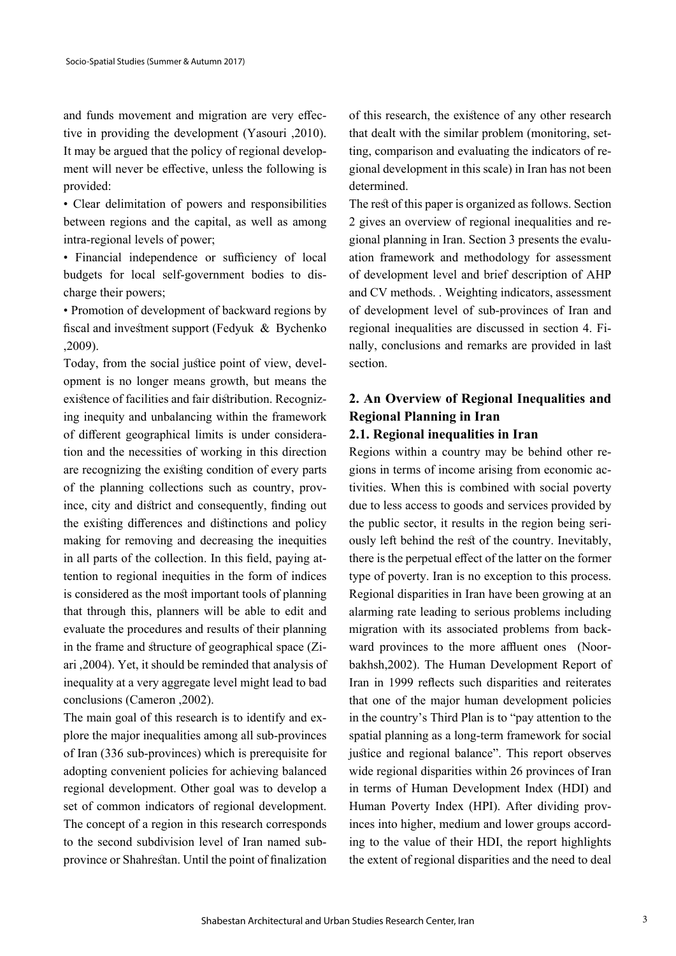and funds movement and migration are very effective in providing the development (Yasouri ,2010). It may be argued that the policy of regional development will never be effective, unless the following is provided:

• Clear delimitation of powers and responsibilities between regions and the capital, as well as among intra-regional levels of power;

• Financial independence or sufficiency of local budgets for local self-government bodies to discharge their powers;

• Promotion of development of backward regions by fiscal and investment support (Fedyuk & Bychenko ,2009).

Today, from the social justice point of view, development is no longer means growth, but means the existence of facilities and fair distribution. Recognizing inequity and unbalancing within the framework of different geographical limits is under consideration and the necessities of working in this direction are recognizing the existing condition of every parts of the planning collections such as country, province, city and district and consequently, finding out the existing differences and distinctions and policy making for removing and decreasing the inequities in all parts of the collection. In this field, paying attention to regional inequities in the form of indices is considered as the most important tools of planning that through this, planners will be able to edit and evaluate the procedures and results of their planning in the frame and structure of geographical space (Ziari ,2004). Yet, it should be reminded that analysis of inequality at a very aggregate level might lead to bad conclusions (Cameron ,2002).

The main goal of this research is to identify and explore the major inequalities among all sub-provinces of Iran (336 sub-provinces) which is prerequisite for adopting convenient policies for achieving balanced regional development. Other goal was to develop a set of common indicators of regional development. The concept of a region in this research corresponds to the second subdivision level of Iran named subprovince or Shahrestan. Until the point of finalization

of this research, the existence of any other research that dealt with the similar problem (monitoring, setting, comparison and evaluating the indicators of regional development in this scale) in Iran has not been determined.

The rest of this paper is organized as follows. Section 2 gives an overview of regional inequalities and regional planning in Iran. Section 3 presents the evaluation framework and methodology for assessment of development level and brief description of AHP and CV methods. . Weighting indicators, assessment of development level of sub-provinces of Iran and regional inequalities are discussed in section 4. Finally, conclusions and remarks are provided in last section.

# **2. An Overview of Regional Inequalities and Regional Planning in Iran**

# **2.1. Regional inequalities in Iran**

Regions within a country may be behind other regions in terms of income arising from economic activities. When this is combined with social poverty due to less access to goods and services provided by the public sector, it results in the region being seriously left behind the rest of the country. Inevitably, there is the perpetual effect of the latter on the former type of poverty. Iran is no exception to this process. Regional disparities in Iran have been growing at an alarming rate leading to serious problems including migration with its associated problems from backward provinces to the more affluent ones (Noorbakhsh,2002). The Human Development Report of Iran in 1999 reflects such disparities and reiterates that one of the major human development policies in the country's Third Plan is to "pay attention to the spatial planning as a long-term framework for social justice and regional balance". This report observes wide regional disparities within 26 provinces of Iran in terms of Human Development Index (HDI) and Human Poverty Index (HPI). After dividing provinces into higher, medium and lower groups according to the value of their HDI, the report highlights the extent of regional disparities and the need to deal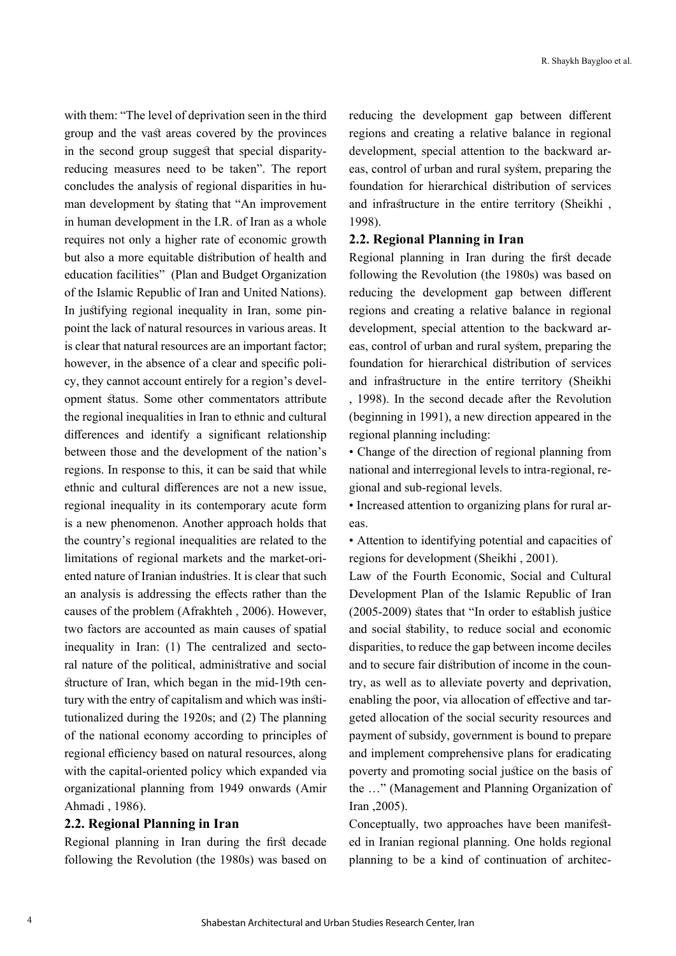with them: "The level of deprivation seen in the third group and the vast areas covered by the provinces in the second group suggest that special disparityreducing measures need to be taken". The report concludes the analysis of regional disparities in human development by stating that "An improvement in human development in the I.R. of Iran as a whole requires not only a higher rate of economic growth but also a more equitable distribution of health and education facilities" (Plan and Budget Organization of the Islamic Republic of Iran and United Nations). In justifying regional inequality in Iran, some pinpoint the lack of natural resources in various areas. It is clear that natural resources are an important factor; however, in the absence of a clear and specific policy, they cannot account entirely for a region's development status. Some other commentators attribute the regional inequalities in Iran to ethnic and cultural differences and identify a significant relationship between those and the development of the nation's regions. In response to this, it can be said that while ethnic and cultural differences are not a new issue, regional inequality in its contemporary acute form is a new phenomenon. Another approach holds that the country's regional inequalities are related to the limitations of regional markets and the market-oriented nature of Iranian industries. It is clear that such an analysis is addressing the effects rather than the causes of the problem (Afrakhteh , 2006). However, two factors are accounted as main causes of spatial inequality in Iran: (1) The centralized and sectoral nature of the political, administrative and social structure of Iran, which began in the mid-19th century with the entry of capitalism and which was institutionalized during the 1920s; and (2) The planning of the national economy according to principles of regional efficiency based on natural resources, along with the capital-oriented policy which expanded via organizational planning from 1949 onwards (Amir Ahmadi , 1986).

### **2.2. Regional Planning in Iran**

Regional planning in Iran during the first decade following the Revolution (the 1980s) was based on

reducing the development gap between different regions and creating a relative balance in regional development, special attention to the backward areas, control of urban and rural system, preparing the foundation for hierarchical distribution of services and infrastructure in the entire territory (Sheikhi , 1998).

## **2.2. Regional Planning in Iran**

Regional planning in Iran during the first decade following the Revolution (the 1980s) was based on reducing the development gap between different regions and creating a relative balance in regional development, special attention to the backward areas, control of urban and rural system, preparing the foundation for hierarchical distribution of services and infrastructure in the entire territory (Sheikhi , 1998). In the second decade after the Revolution (beginning in 1991), a new direction appeared in the regional planning including:

• Change of the direction of regional planning from national and interregional levels to intra-regional, regional and sub-regional levels.

• Increased attention to organizing plans for rural areas.

• Attention to identifying potential and capacities of regions for development (Sheikhi , 2001).

Law of the Fourth Economic, Social and Cultural Development Plan of the Islamic Republic of Iran (2005-2009) states that "In order to establish justice and social stability, to reduce social and economic disparities, to reduce the gap between income deciles and to secure fair distribution of income in the country, as well as to alleviate poverty and deprivation, enabling the poor, via allocation of effective and targeted allocation of the social security resources and payment of subsidy, government is bound to prepare and implement comprehensive plans for eradicating poverty and promoting social justice on the basis of the …" (Management and Planning Organization of Iran ,2005).

Conceptually, two approaches have been manifested in Iranian regional planning. One holds regional planning to be a kind of continuation of architec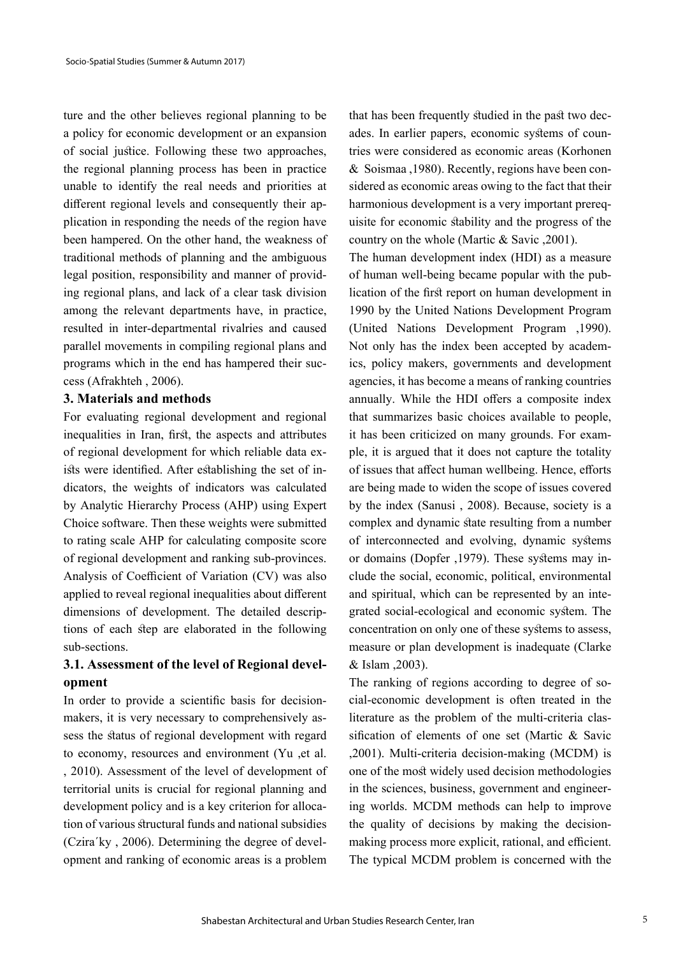ture and the other believes regional planning to be a policy for economic development or an expansion of social justice. Following these two approaches, the regional planning process has been in practice unable to identify the real needs and priorities at different regional levels and consequently their application in responding the needs of the region have been hampered. On the other hand, the weakness of traditional methods of planning and the ambiguous legal position, responsibility and manner of providing regional plans, and lack of a clear task division among the relevant departments have, in practice, resulted in inter-departmental rivalries and caused parallel movements in compiling regional plans and programs which in the end has hampered their success (Afrakhteh , 2006).

### **3. Materials and methods**

For evaluating regional development and regional inequalities in Iran, first, the aspects and attributes of regional development for which reliable data exists were identified. After establishing the set of indicators, the weights of indicators was calculated by Analytic Hierarchy Process (AHP) using Expert Choice software. Then these weights were submitted to rating scale AHP for calculating composite score of regional development and ranking sub-provinces. Analysis of Coefficient of Variation (CV) was also applied to reveal regional inequalities about different dimensions of development. The detailed descriptions of each step are elaborated in the following sub-sections.

# **3.1. Assessment of the level of Regional development**

In order to provide a scientific basis for decisionmakers, it is very necessary to comprehensively assess the status of regional development with regard to economy, resources and environment (Yu ,et al. , 2010). Assessment of the level of development of territorial units is crucial for regional planning and development policy and is a key criterion for allocation of various structural funds and national subsidies (Czira´ky , 2006). Determining the degree of development and ranking of economic areas is a problem that has been frequently studied in the past two decades. In earlier papers, economic systems of countries were considered as economic areas (Korhonen & Soismaa ,1980). Recently, regions have been considered as economic areas owing to the fact that their harmonious development is a very important prerequisite for economic stability and the progress of the country on the whole (Martic & Savic ,2001).

The human development index (HDI) as a measure of human well-being became popular with the publication of the first report on human development in 1990 by the United Nations Development Program (United Nations Development Program ,1990). Not only has the index been accepted by academics, policy makers, governments and development agencies, it has become a means of ranking countries annually. While the HDI offers a composite index that summarizes basic choices available to people, it has been criticized on many grounds. For example, it is argued that it does not capture the totality of issues that affect human wellbeing. Hence, efforts are being made to widen the scope of issues covered by the index (Sanusi , 2008). Because, society is a complex and dynamic state resulting from a number of interconnected and evolving, dynamic systems or domains (Dopfer ,1979). These systems may include the social, economic, political, environmental and spiritual, which can be represented by an integrated social-ecological and economic system. The concentration on only one of these systems to assess, measure or plan development is inadequate (Clarke & Islam ,2003).

The ranking of regions according to degree of social-economic development is often treated in the literature as the problem of the multi-criteria classification of elements of one set (Martic & Savic ,2001). Multi-criteria decision-making (MCDM) is one of the most widely used decision methodologies in the sciences, business, government and engineering worlds. MCDM methods can help to improve the quality of decisions by making the decisionmaking process more explicit, rational, and efficient. The typical MCDM problem is concerned with the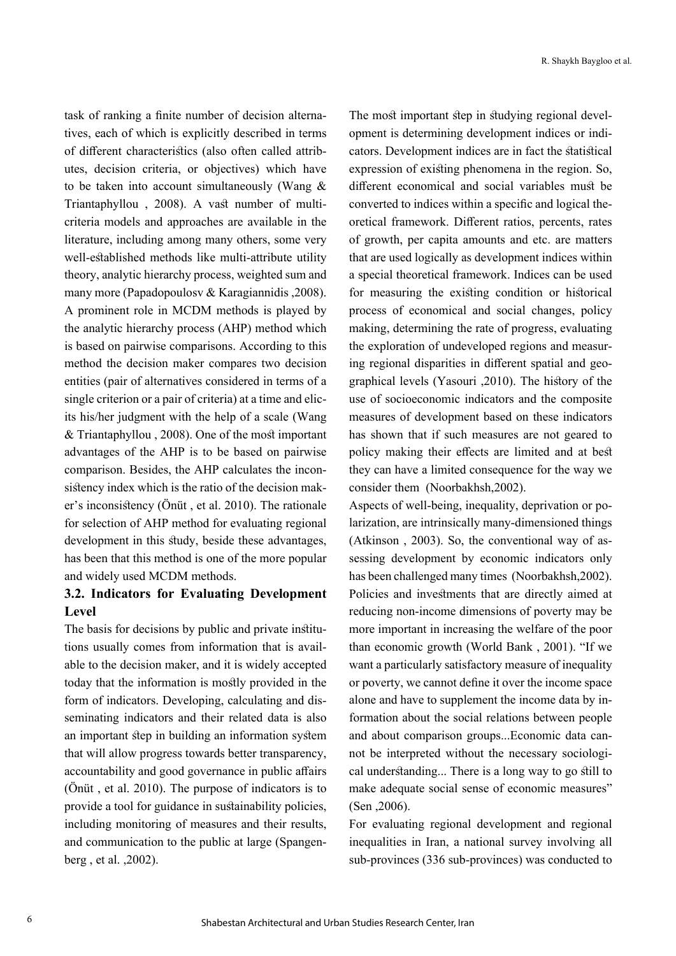task of ranking a finite number of decision alternatives, each of which is explicitly described in terms of different characteristics (also often called attributes, decision criteria, or objectives) which have to be taken into account simultaneously (Wang & Triantaphyllou , 2008). A vast number of multicriteria models and approaches are available in the literature, including among many others, some very well-established methods like multi-attribute utility theory, analytic hierarchy process, weighted sum and many more (Papadopoulosv & Karagiannidis ,2008). A prominent role in MCDM methods is played by the analytic hierarchy process (AHP) method which is based on pairwise comparisons. According to this method the decision maker compares two decision entities (pair of alternatives considered in terms of a single criterion or a pair of criteria) at a time and elicits his/her judgment with the help of a scale (Wang & Triantaphyllou , 2008). One of the most important advantages of the AHP is to be based on pairwise comparison. Besides, the AHP calculates the inconsistency index which is the ratio of the decision maker's inconsistency (Önüt , et al. 2010). The rationale for selection of AHP method for evaluating regional development in this study, beside these advantages, has been that this method is one of the more popular and widely used MCDM methods.

# **3.2. Indicators for Evaluating Development Level**

The basis for decisions by public and private institutions usually comes from information that is available to the decision maker, and it is widely accepted today that the information is mostly provided in the form of indicators. Developing, calculating and disseminating indicators and their related data is also an important step in building an information system that will allow progress towards better transparency, accountability and good governance in public affairs (Önüt , et al. 2010). The purpose of indicators is to provide a tool for guidance in sustainability policies, including monitoring of measures and their results, and communication to the public at large (Spangenberg , et al. ,2002).

The most important step in studying regional development is determining development indices or indicators. Development indices are in fact the statistical expression of existing phenomena in the region. So, different economical and social variables must be converted to indices within a specific and logical theoretical framework. Different ratios, percents, rates of growth, per capita amounts and etc. are matters that are used logically as development indices within a special theoretical framework. Indices can be used for measuring the existing condition or historical process of economical and social changes, policy making, determining the rate of progress, evaluating the exploration of undeveloped regions and measuring regional disparities in different spatial and geographical levels (Yasouri ,2010). The history of the use of socioeconomic indicators and the composite measures of development based on these indicators has shown that if such measures are not geared to policy making their effects are limited and at best they can have a limited consequence for the way we consider them (Noorbakhsh,2002).

Aspects of well-being, inequality, deprivation or polarization, are intrinsically many-dimensioned things (Atkinson , 2003). So, the conventional way of assessing development by economic indicators only has been challenged many times (Noorbakhsh,2002). Policies and investments that are directly aimed at reducing non-income dimensions of poverty may be more important in increasing the welfare of the poor than economic growth (World Bank , 2001). "If we want a particularly satisfactory measure of inequality or poverty, we cannot define it over the income space alone and have to supplement the income data by information about the social relations between people and about comparison groups...Economic data cannot be interpreted without the necessary sociological understanding... There is a long way to go still to make adequate social sense of economic measures" (Sen ,2006).

For evaluating regional development and regional inequalities in Iran, a national survey involving all sub-provinces (336 sub-provinces) was conducted to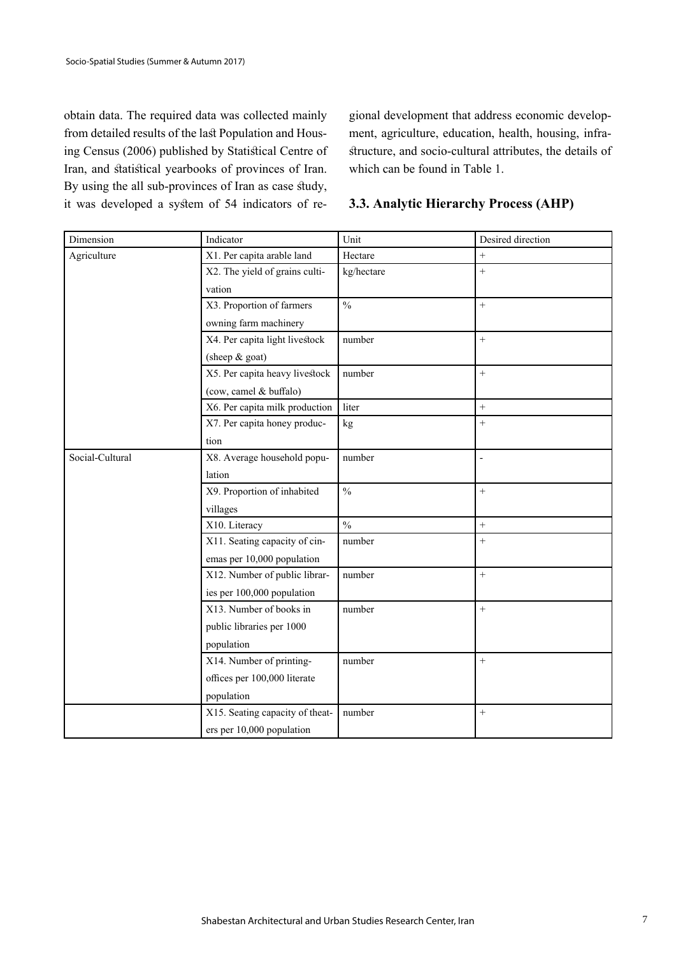obtain data. The required data was collected mainly from detailed results of the last Population and Housing Census (2006) published by Statistical Centre of Iran, and statistical yearbooks of provinces of Iran. By using the all sub-provinces of Iran as case study, it was developed a system of 54 indicators of regional development that address economic development, agriculture, education, health, housing, infrastructure, and socio-cultural attributes, the details of which can be found in Table 1.

| 3.3. Analytic Hierarchy Process (AHP) |  |  |
|---------------------------------------|--|--|
|---------------------------------------|--|--|

| Dimension       | Indicator                       | Unit          | Desired direction        |
|-----------------|---------------------------------|---------------|--------------------------|
| Agriculture     | X1. Per capita arable land      | Hectare       | $\boldsymbol{+}$         |
|                 | X2. The yield of grains culti-  | kg/hectare    | $\ddot{}$                |
|                 | vation                          |               |                          |
|                 | X3. Proportion of farmers       | $\frac{0}{0}$ | $^{+}$                   |
|                 | owning farm machinery           |               |                          |
|                 | X4. Per capita light livestock  | number        | $\boldsymbol{+}$         |
|                 | (sheep & goat)                  |               |                          |
|                 | X5. Per capita heavy livestock  | number        | $^{+}$                   |
|                 | (cow, camel & buffalo)          |               |                          |
|                 | X6. Per capita milk production  | liter         | $\overline{+}$           |
|                 | X7. Per capita honey produc-    | kg            | $+$                      |
|                 | tion                            |               |                          |
| Social-Cultural | X8. Average household popu-     | number        | $\overline{\phantom{a}}$ |
|                 | lation                          |               |                          |
|                 | X9. Proportion of inhabited     | $\frac{0}{0}$ | $+$                      |
|                 | villages                        |               |                          |
|                 | X10. Literacy                   | $\frac{0}{0}$ | $+$                      |
|                 | X11. Seating capacity of cin-   | number        | $^{+}$                   |
|                 | emas per 10,000 population      |               |                          |
|                 | X12. Number of public librar-   | number        | $+$                      |
|                 | ies per 100,000 population      |               |                          |
|                 | X13. Number of books in         | number        | $+$                      |
|                 | public libraries per 1000       |               |                          |
|                 | population                      |               |                          |
|                 | X14. Number of printing-        | number        | $+$                      |
|                 | offices per 100,000 literate    |               |                          |
|                 | population                      |               |                          |
|                 | X15. Seating capacity of theat- | number        | $^{+}$                   |
|                 | ers per 10,000 population       |               |                          |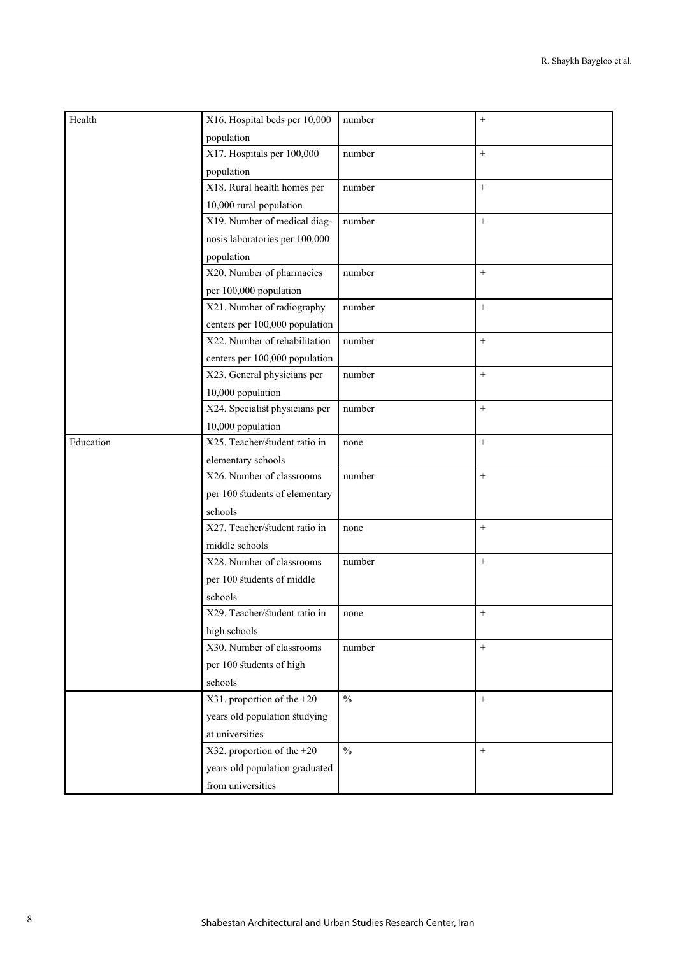| Health    | X16. Hospital beds per 10,000  | number        | $^{+}$    |
|-----------|--------------------------------|---------------|-----------|
|           | population                     |               |           |
|           | X17. Hospitals per 100,000     | number        | $^{+}$    |
|           | population                     |               |           |
|           | X18. Rural health homes per    | number        | $^{+}$    |
|           | 10,000 rural population        |               |           |
|           | X19. Number of medical diag-   | number        | $^{+}$    |
|           | nosis laboratories per 100,000 |               |           |
|           | population                     |               |           |
|           | X20. Number of pharmacies      | number        | $^{+}$    |
|           | per 100,000 population         |               |           |
|           | X21. Number of radiography     | number        | $^{+}$    |
|           | centers per 100,000 population |               |           |
|           | X22. Number of rehabilitation  | number        | $^{+}$    |
|           | centers per 100,000 population |               |           |
|           | X23. General physicians per    | number        | $\ddot{}$ |
|           | 10,000 population              |               |           |
|           | X24. Specialist physicians per | number        | $^{+}$    |
|           | 10,000 population              |               |           |
| Education | X25. Teacher/student ratio in  | none          | $\ddot{}$ |
|           | elementary schools             |               |           |
|           | X26. Number of classrooms      | number        | $^{+}$    |
|           | per 100 students of elementary |               |           |
|           | schools                        |               |           |
|           | X27. Teacher/student ratio in  | none          | $^{+}$    |
|           | middle schools                 |               |           |
|           | X28. Number of classrooms      | number        | $^{+}$    |
|           | per 100 students of middle     |               |           |
|           | schools                        |               |           |
|           | X29. Teacher/student ratio in  | none          | $^{+}$    |
|           | high schools                   |               |           |
|           | X30. Number of classrooms      | number        | $^{+}$    |
|           | per 100 students of high       |               |           |
|           | schools                        |               |           |
|           | X31. proportion of the $+20$   | $\frac{0}{0}$ | $^{+}$    |
|           | years old population studying  |               |           |
|           | at universities                |               |           |
|           | X32. proportion of the $+20$   | $\frac{0}{0}$ | $^{+}$    |
|           | years old population graduated |               |           |
|           | from universities              |               |           |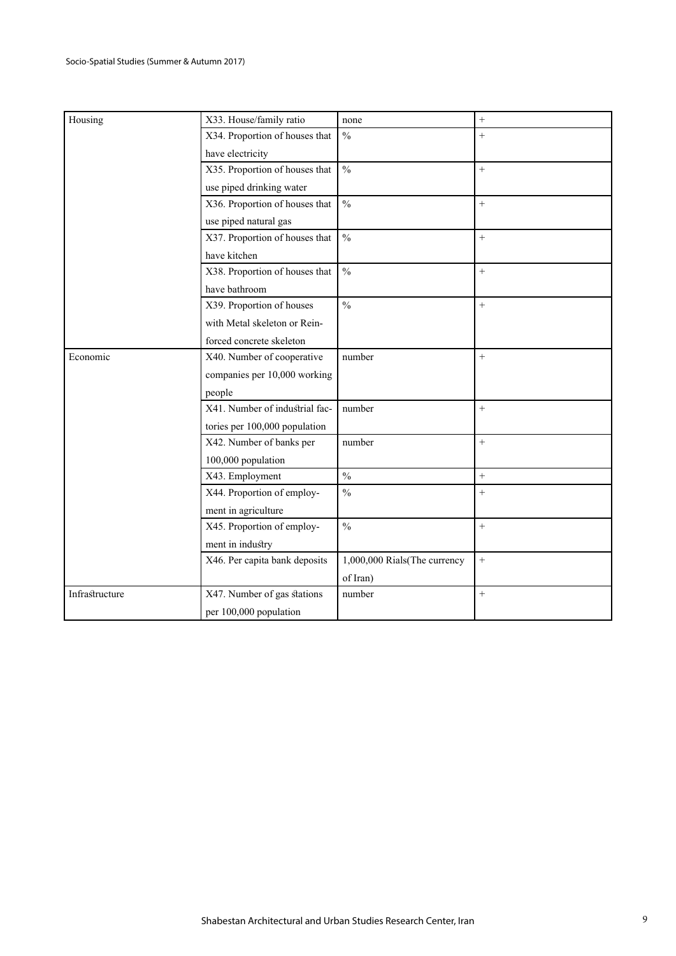| Housing        | X33. House/family ratio        | none                         | $^{+}$    |
|----------------|--------------------------------|------------------------------|-----------|
|                | X34. Proportion of houses that | $\frac{0}{0}$                | $^{+}$    |
|                | have electricity               |                              |           |
|                | X35. Proportion of houses that | $\frac{0}{0}$                | $^{+}$    |
|                | use piped drinking water       |                              |           |
|                | X36. Proportion of houses that | $\frac{0}{0}$                | $\ddot{}$ |
|                | use piped natural gas          |                              |           |
|                | X37. Proportion of houses that | $\frac{0}{0}$                | $^{+}$    |
|                | have kitchen                   |                              |           |
|                | X38. Proportion of houses that | $\frac{0}{0}$                | $+$       |
|                | have bathroom                  |                              |           |
|                | X39. Proportion of houses      | $\frac{0}{0}$                | $^{+}$    |
|                | with Metal skeleton or Rein-   |                              |           |
|                | forced concrete skeleton       |                              |           |
| Economic       | X40. Number of cooperative     | number                       | $^{+}$    |
|                | companies per 10,000 working   |                              |           |
|                | people                         |                              |           |
|                | X41. Number of industrial fac- | number                       | $^{+}$    |
|                | tories per 100,000 population  |                              |           |
|                | X42. Number of banks per       | number                       | $^{+}$    |
|                | 100,000 population             |                              |           |
|                | X43. Employment                | $\frac{0}{0}$                | $+$       |
|                | X44. Proportion of employ-     | $\frac{0}{0}$                | $^{+}$    |
|                | ment in agriculture            |                              |           |
|                | X45. Proportion of employ-     | $\frac{0}{0}$                | $^{+}$    |
|                | ment in industry               |                              |           |
|                | X46. Per capita bank deposits  | 1,000,000 Rials(The currency | $\ddot{}$ |
|                |                                | of Iran)                     |           |
| Infrastructure | X47. Number of gas stations    | number                       | $+$       |
|                | per 100,000 population         |                              |           |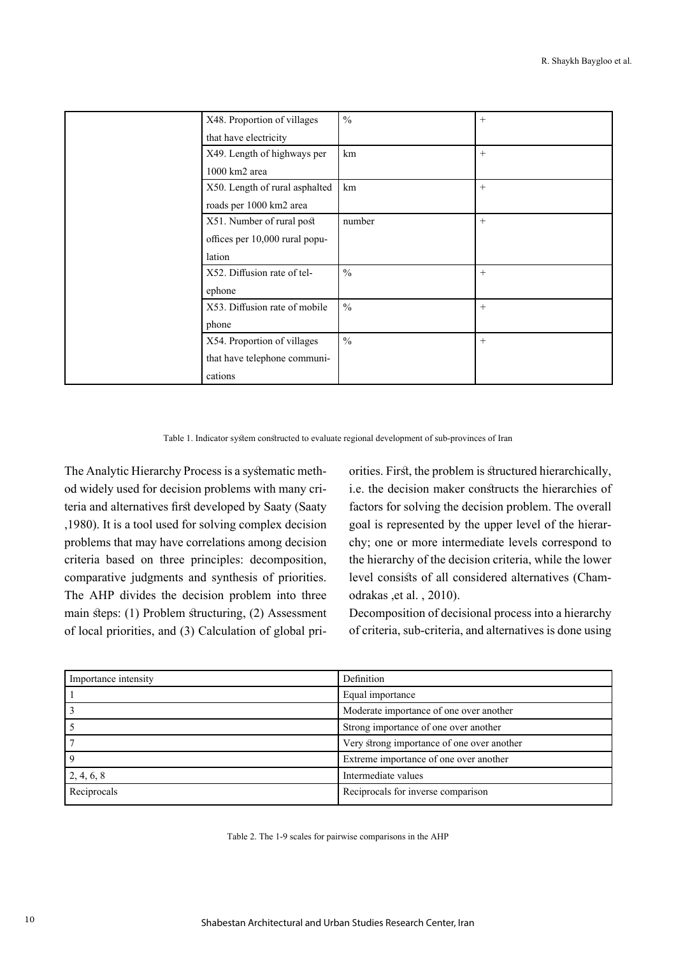| X48. Proportion of villages    | $\frac{0}{0}$ | $^{+}$ |
|--------------------------------|---------------|--------|
| that have electricity          |               |        |
| X49. Length of highways per    | km            | $^{+}$ |
| 1000 km2 area                  |               |        |
| X50. Length of rural asphalted | km            | $^{+}$ |
| roads per 1000 km2 area        |               |        |
| X51. Number of rural post      | number        | $^{+}$ |
| offices per 10,000 rural popu- |               |        |
| lation                         |               |        |
| X52. Diffusion rate of tel-    | $\frac{0}{0}$ | $^{+}$ |
| ephone                         |               |        |
| X53. Diffusion rate of mobile  | $\frac{0}{0}$ | $^{+}$ |
| phone                          |               |        |
| X54. Proportion of villages    | $\frac{0}{0}$ | $^{+}$ |
| that have telephone communi-   |               |        |
| cations                        |               |        |

Table 1. Indicator system constructed to evaluate regional development of sub-provinces of Iran

The Analytic Hierarchy Process is a systematic method widely used for decision problems with many criteria and alternatives first developed by Saaty (Saaty ,1980). It is a tool used for solving complex decision problems that may have correlations among decision criteria based on three principles: decomposition, comparative judgments and synthesis of priorities. The AHP divides the decision problem into three main steps: (1) Problem structuring, (2) Assessment of local priorities, and (3) Calculation of global priorities. First, the problem is structured hierarchically, i.e. the decision maker constructs the hierarchies of factors for solving the decision problem. The overall goal is represented by the upper level of the hierarchy; one or more intermediate levels correspond to the hierarchy of the decision criteria, while the lower level consists of all considered alternatives (Chamodrakas ,et al. , 2010).

Decomposition of decisional process into a hierarchy of criteria, sub-criteria, and alternatives is done using

| Importance intensity | Definition                                 |
|----------------------|--------------------------------------------|
|                      | Equal importance                           |
|                      | Moderate importance of one over another    |
|                      | Strong importance of one over another      |
|                      | Very strong importance of one over another |
|                      | Extreme importance of one over another     |
| 2, 4, 6, 8           | Intermediate values                        |
| Reciprocals          | Reciprocals for inverse comparison         |

Table 2. The 1-9 scales for pairwise comparisons in the AHP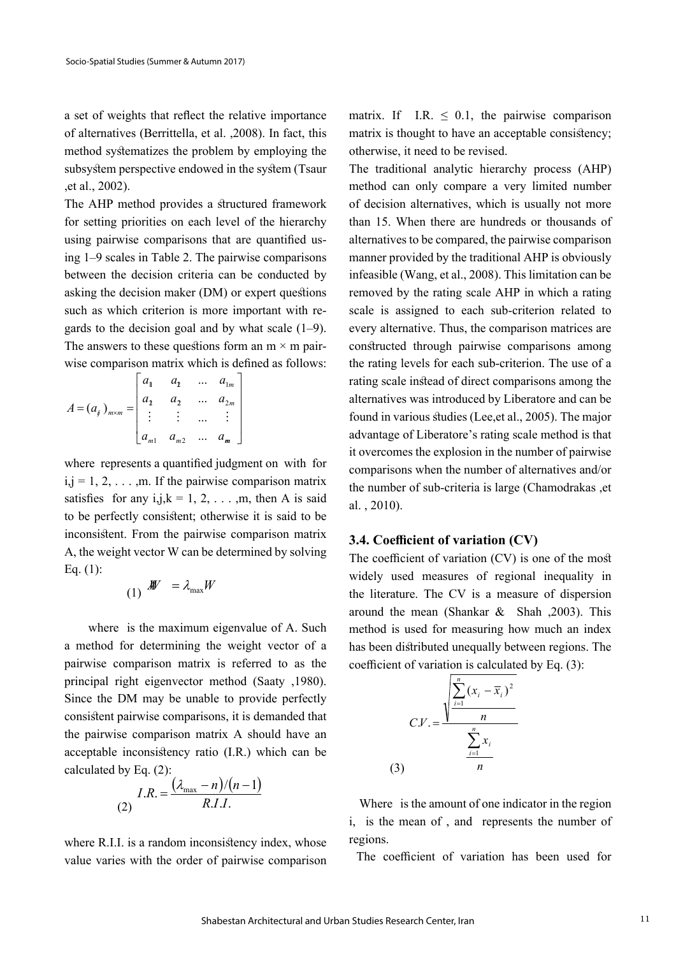a set of weights that reflect the relative importance of alternatives (Berrittella, et al. ,2008). In fact, this method systematizes the problem by employing the subsystem perspective endowed in the system (Tsaur ,et al., 2002).

The AHP method provides a structured framework for setting priorities on each level of the hierarchy using pairwise comparisons that are quantified using 1–9 scales in Table 2. The pairwise comparisons between the decision criteria can be conducted by asking the decision maker (DM) or expert questions such as which criterion is more important with regards to the decision goal and by what scale (1–9). The answers to these questions form an  $m \times m$  pairwise comparison matrix which is defined as follows:

$$
A = (a_j)_{m \times m} = \begin{bmatrix} a_1 & a_2 & \dots & a_{1m} \\ a_2 & a_3 & \dots & a_{2m} \\ \vdots & \vdots & \dots & \vdots \\ a_{m1} & a_{m2} & \dots & a_m \end{bmatrix}
$$

where represents a quantified judgment on with for  $i,j = 1, 2, \ldots, m$ . If the pairwise comparison matrix satisfies for any i,j, $k = 1, 2, \ldots, m$ , then A is said to be perfectly consistent; otherwise it is said to be inconsistent. From the pairwise comparison matrix A, the weight vector W can be determined by solving Eq. (1):

$$
(1) \n\mathcal{H} = \lambda_{\max} W
$$

 where is the maximum eigenvalue of A. Such a method for determining the weight vector of a pairwise comparison matrix is referred to as the principal right eigenvector method (Saaty ,1980). Since the DM may be unable to provide perfectly consistent pairwise comparisons, it is demanded that the pairwise comparison matrix A should have an acceptable inconsistency ratio (I.R.) which can be calculated by Eq. (2):

$$
I.R. = \frac{(\lambda_{\text{max}} - n)/(n-1)}{R.I.I.}
$$

where R.I.I. is a random inconsistency index, whose value varies with the order of pairwise comparison matrix. If I.R.  $\leq$  0.1, the pairwise comparison matrix is thought to have an acceptable consistency; otherwise, it need to be revised.

The traditional analytic hierarchy process (AHP) method can only compare a very limited number of decision alternatives, which is usually not more than 15. When there are hundreds or thousands of alternatives to be compared, the pairwise comparison manner provided by the traditional AHP is obviously infeasible (Wang, et al., 2008). This limitation can be removed by the rating scale AHP in which a rating scale is assigned to each sub-criterion related to every alternative. Thus, the comparison matrices are constructed through pairwise comparisons among the rating levels for each sub-criterion. The use of a rating scale instead of direct comparisons among the alternatives was introduced by Liberatore and can be found in various studies (Lee,et al., 2005). The major advantage of Liberatore's rating scale method is that it overcomes the explosion in the number of pairwise comparisons when the number of alternatives and/or the number of sub-criteria is large (Chamodrakas ,et al. , 2010).

## **3.4. Coefficient of variation (CV)**

The coefficient of variation (CV) is one of the most widely used measures of regional inequality in the literature. The CV is a measure of dispersion around the mean (Shankar & Shah ,2003). This method is used for measuring how much an index has been distributed unequally between regions. The coefficient of variation is calculated by Eq. (3):



 Where is the amount of one indicator in the region i, is the mean of , and represents the number of regions.

The coefficient of variation has been used for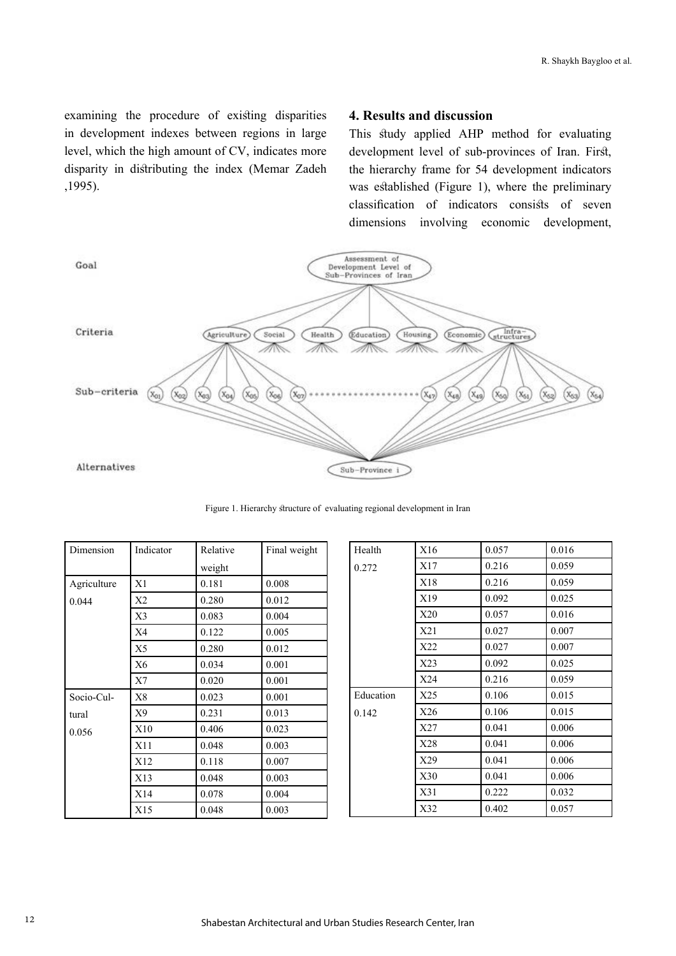examining the procedure of existing disparities in development indexes between regions in large level, which the high amount of CV, indicates more disparity in distributing the index (Memar Zadeh ,1995).

### **4. Results and discussion**

This study applied AHP method for evaluating development level of sub-provinces of Iran. First, the hierarchy frame for 54 development indicators was established (Figure 1), where the preliminary classification of indicators consists of seven dimensions involving economic development,



Figure 1. Hierarchy structure of evaluating regional development in Iran

| Dimension   | Indicator      | Relative | Final weight |  |
|-------------|----------------|----------|--------------|--|
|             |                | weight   |              |  |
| Agriculture | X1             | 0.181    | 0.008        |  |
| 0.044       | X <sub>2</sub> | 0.280    | 0.012        |  |
|             | X3             | 0.083    | 0.004        |  |
|             | X4             | 0.122    | 0.005        |  |
|             | X5             | 0.280    | 0.012        |  |
|             | Х6             | 0.034    | 0.001        |  |
|             | X7             | 0.020    | 0.001        |  |
| Socio-Cul-  | X <sup>8</sup> | 0.023    | 0.001        |  |
| tural       | X9             | 0.231    | 0.013        |  |
| 0.056       | X10            | 0.406    | 0.023        |  |
|             | X11            | 0.048    | 0.003        |  |
|             | X12            | 0.118    | 0.007        |  |
|             | X13            | 0.048    | 0.003        |  |
|             | X14            | 0.078    | 0.004        |  |
|             | X15            | 0.048    | 0.003        |  |

| Health    | X16 | 0.057 | 0.016 |
|-----------|-----|-------|-------|
| 0.272     | X17 | 0.216 | 0.059 |
|           | X18 | 0.216 | 0.059 |
|           | X19 | 0.092 | 0.025 |
|           | X20 | 0.057 | 0.016 |
|           | X21 | 0.027 | 0.007 |
|           | X22 | 0.027 | 0.007 |
|           | X23 | 0.092 | 0.025 |
|           | X24 | 0.216 | 0.059 |
| Education | X25 | 0.106 | 0.015 |
| 0.142     | X26 | 0.106 | 0.015 |
|           | X27 | 0.041 | 0.006 |
|           | X28 | 0.041 | 0.006 |
|           | X29 | 0.041 | 0.006 |
|           | X30 | 0.041 | 0.006 |
|           | X31 | 0.222 | 0.032 |
|           | X32 | 0.402 | 0.057 |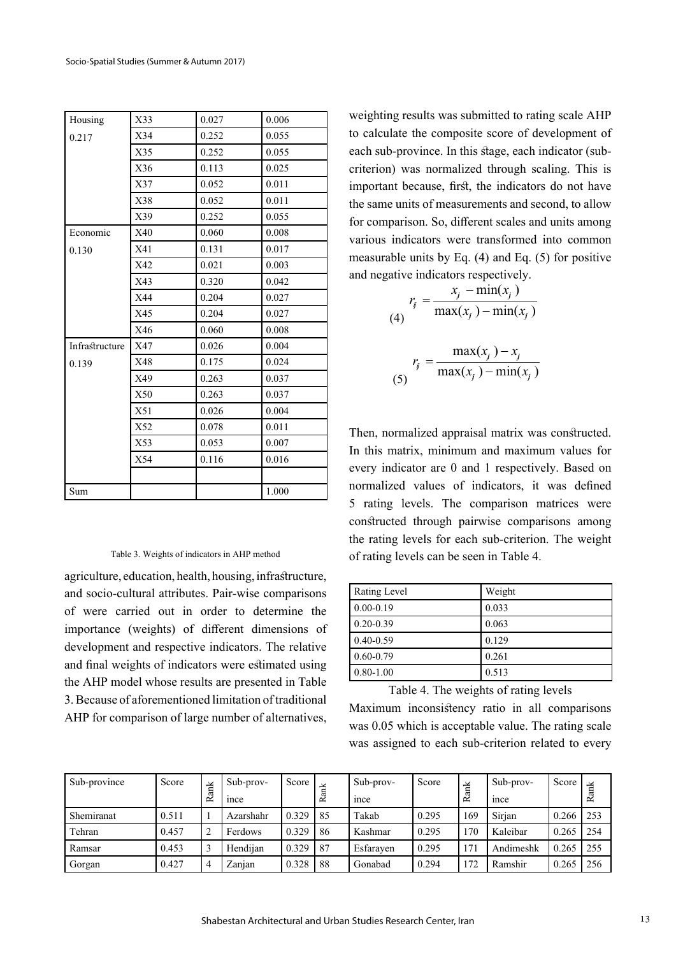| Housing        | X33 | 0.027 | 0.006 |
|----------------|-----|-------|-------|
| 0.217          | X34 | 0.252 | 0.055 |
|                | X35 | 0.252 | 0.055 |
|                | X36 | 0.113 | 0.025 |
|                | X37 | 0.052 | 0.011 |
|                | X38 | 0.052 | 0.011 |
|                | X39 | 0.252 | 0.055 |
| Economic       | X40 | 0.060 | 0.008 |
| 0.130          | X41 | 0.131 | 0.017 |
|                | X42 | 0.021 | 0.003 |
|                | X43 | 0.320 | 0.042 |
|                | X44 | 0.204 | 0.027 |
|                | X45 | 0.204 | 0.027 |
|                | X46 | 0.060 | 0.008 |
| Infrastructure | X47 | 0.026 | 0.004 |
| 0.139          | X48 | 0.175 | 0.024 |
|                | X49 | 0.263 | 0.037 |
|                | X50 | 0.263 | 0.037 |
|                | X51 | 0.026 | 0.004 |
|                | X52 | 0.078 | 0.011 |
|                | X53 | 0.053 | 0.007 |
|                | X54 | 0.116 | 0.016 |
|                |     |       |       |
| Sum            |     |       | 1.000 |

#### Table 3. Weights of indicators in AHP method

agriculture, education, health, housing, infrastructure, and socio-cultural attributes. Pair-wise comparisons of were carried out in order to determine the importance (weights) of different dimensions of development and respective indicators. The relative and final weights of indicators were estimated using the AHP model whose results are presented in Table 3. Because of aforementioned limitation of traditional AHP for comparison of large number of alternatives,

weighting results was submitted to rating scale AHP to calculate the composite score of development of each sub-province. In this stage, each indicator (subcriterion) was normalized through scaling. This is important because, first, the indicators do not have the same units of measurements and second, to allow for comparison. So, different scales and units among various indicators were transformed into common measurable units by Eq. (4) and Eq. (5) for positive and negative indicators respectively.

$$
r_{j} = \frac{x_{j} - \min(x_{j})}{\max(x_{j}) - \min(x_{j})}
$$

$$
r_{j} = \frac{\max(x_{j}) - x_{j}}{\max(x_{j}) - \min(x_{j})}
$$
(5)

Then, normalized appraisal matrix was constructed. In this matrix, minimum and maximum values for every indicator are 0 and 1 respectively. Based on normalized values of indicators, it was defined 5 rating levels. The comparison matrices were constructed through pairwise comparisons among the rating levels for each sub-criterion. The weight of rating levels can be seen in Table 4.

| Rating Level  | Weight |
|---------------|--------|
| $0.00 - 0.19$ | 0.033  |
| $0.20 - 0.39$ | 0.063  |
| $0.40 - 0.59$ | 0.129  |
| $0.60 - 0.79$ | 0.261  |
| $0.80 - 1.00$ | 0.513  |

Table 4. The weights of rating levels Maximum inconsistency ratio in all comparisons was 0.05 which is acceptable value. The rating scale was assigned to each sub-criterion related to every

| Sub-province | Score | ਜ਼੍ਰੱ<br>≃ | Sub-prov-<br><sub>1</sub> nce | Score | $\vec{a}$<br>≃ | Sub-prov-<br><sub>1</sub> nce | Score | Ť<br>≃ | Sub-prov-<br><sub>1</sub> nce | Score         | Rank |
|--------------|-------|------------|-------------------------------|-------|----------------|-------------------------------|-------|--------|-------------------------------|---------------|------|
| Shemiranat   | 0.511 |            | Azarshahr                     | 0.329 | 85             | Takab                         | 0.295 | 169    | Sirian                        | $0.266$   253 |      |
| Tehran       | 0.457 |            | Ferdows                       | 0.329 | 86             | Kashmar                       | 0.295 | 170    | Kaleibar                      | 0.265         | 1254 |
| Ramsar       | 0.453 |            | Hendijan                      | 0.329 | 87             | Esfarayen                     | 0.295 | 171    | Andimeshk                     | 0.265         | 255  |
| Gorgan       | 0.427 | 4          | Zanjan                        | 0.328 | 88             | Gonabad                       | 0.294 | 172    | Ramshir                       | 0.265         | 256  |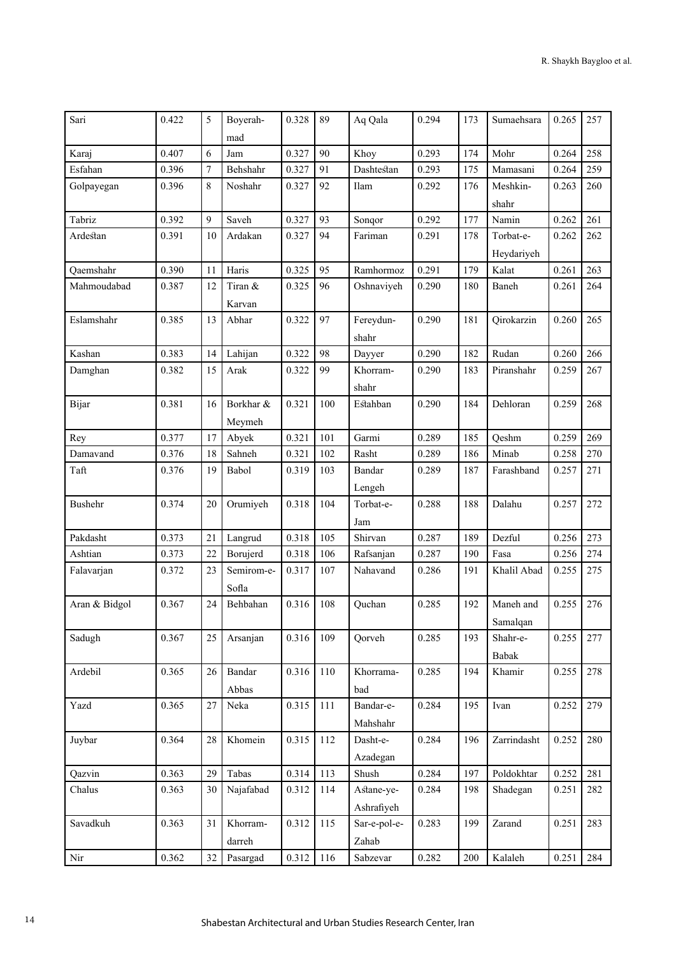| Sari           | 0.422 | 5                | Boyerah-   | 0.328 | 89  | Aq Qala      | 0.294 | 173 | Sumaehsara        | 0.265 | 257 |
|----------------|-------|------------------|------------|-------|-----|--------------|-------|-----|-------------------|-------|-----|
|                |       |                  | mad        |       |     |              |       |     |                   |       |     |
| Karaj          | 0.407 | 6                | Jam        | 0.327 | 90  | Khoy         | 0.293 | 174 | Mohr              | 0.264 | 258 |
| Esfahan        | 0.396 | $\boldsymbol{7}$ | Behshahr   | 0.327 | 91  | Dashtestan   | 0.293 | 175 | Mamasani          | 0.264 | 259 |
| Golpayegan     | 0.396 | 8                | Noshahr    | 0.327 | 92  | Ilam         | 0.292 | 176 | Meshkin-<br>shahr | 0.263 | 260 |
| Tabriz         | 0.392 | 9                | Saveh      | 0.327 | 93  | Sonqor       | 0.292 | 177 | Namin             | 0.262 | 261 |
| Ardestan       | 0.391 | 10               | Ardakan    | 0.327 | 94  | Fariman      | 0.291 | 178 | Torbat-e-         | 0.262 | 262 |
|                |       |                  |            |       |     |              |       |     | Heydariyeh        |       |     |
| Qaemshahr      | 0.390 | 11               | Haris      | 0.325 | 95  | Ramhormoz    | 0.291 | 179 | Kalat             | 0.261 | 263 |
| Mahmoudabad    | 0.387 | 12               | Tiran &    | 0.325 | 96  | Oshnaviyeh   | 0.290 | 180 | Baneh             | 0.261 | 264 |
|                |       |                  | Karvan     |       |     |              |       |     |                   |       |     |
| Eslamshahr     | 0.385 | 13               | Abhar      | 0.322 | 97  | Fereydun-    | 0.290 | 181 | Qirokarzin        | 0.260 | 265 |
|                |       |                  |            |       |     | shahr        |       |     |                   |       |     |
| Kashan         | 0.383 | 14               | Lahijan    | 0.322 | 98  | Dayyer       | 0.290 | 182 | Rudan             | 0.260 | 266 |
| Damghan        | 0.382 | 15               | Arak       | 0.322 | 99  | Khorram-     | 0.290 | 183 | Piranshahr        | 0.259 | 267 |
|                |       |                  |            |       |     |              |       |     |                   |       |     |
|                |       |                  | Borkhar &  | 0.321 | 100 | shahr        | 0.290 | 184 |                   | 0.259 | 268 |
| Bijar          | 0.381 | 16               | Meymeh     |       |     | Estahban     |       |     | Dehloran          |       |     |
| Rey            | 0.377 | 17               | Abyek      | 0.321 | 101 | Garmi        | 0.289 | 185 | Qeshm             | 0.259 | 269 |
| Damavand       | 0.376 | 18               | Sahneh     | 0.321 | 102 | Rasht        | 0.289 | 186 | Minab             | 0.258 | 270 |
| Taft           | 0.376 | 19               | Babol      | 0.319 | 103 | Bandar       | 0.289 | 187 | Farashband        | 0.257 | 271 |
|                |       |                  |            |       |     | Lengeh       |       |     |                   |       |     |
| <b>Bushehr</b> | 0.374 | 20               | Orumiyeh   | 0.318 | 104 | Torbat-e-    | 0.288 | 188 | Dalahu            | 0.257 | 272 |
|                |       |                  |            |       |     | Jam          |       |     |                   |       |     |
| Pakdasht       | 0.373 | 21               | Langrud    | 0.318 | 105 | Shirvan      | 0.287 | 189 | Dezful            | 0.256 | 273 |
| Ashtian        | 0.373 | 22               | Borujerd   | 0.318 | 106 | Rafsanjan    | 0.287 | 190 | Fasa              | 0.256 | 274 |
| Falavarjan     | 0.372 | 23               | Semirom-e- | 0.317 | 107 | Nahavand     | 0.286 | 191 | Khalil Abad       | 0.255 | 275 |
|                |       |                  | Sofia      |       |     |              |       |     |                   |       |     |
| Aran & Bidgol  | 0.367 | 24               | Behbahan   | 0.316 | 108 | Quchan       | 0.285 | 192 | Maneh and         | 0.255 | 276 |
|                |       |                  |            |       |     |              |       |     | Samalqan          |       |     |
| Sadugh         | 0.367 | 25               | Arsanjan   | 0.316 | 109 | Qorveh       | 0.285 | 193 | Shahr-e-          | 0.255 | 277 |
|                |       |                  |            |       |     |              |       |     | Babak             |       |     |
| Ardebil        | 0.365 | 26               | Bandar     | 0.316 | 110 | Khorrama-    | 0.285 | 194 | Khamir            | 0.255 | 278 |
|                |       |                  | Abbas      |       |     | bad          |       |     |                   |       |     |
| Yazd           | 0.365 | 27               | Neka       | 0.315 | 111 | Bandar-e-    | 0.284 | 195 | Ivan              | 0.252 | 279 |
|                |       |                  |            |       |     | Mahshahr     |       |     |                   |       |     |
| Juybar         | 0.364 | 28               | Khomein    | 0.315 | 112 | Dasht-e-     | 0.284 | 196 | Zarrindasht       | 0.252 | 280 |
|                |       |                  |            |       |     | Azadegan     |       |     |                   |       |     |
| Qazvin         | 0.363 | 29               | Tabas      | 0.314 | 113 | Shush        | 0.284 | 197 | Poldokhtar        | 0.252 | 281 |
| Chalus         | 0.363 | 30               | Najafabad  | 0.312 | 114 | Astane-ye-   | 0.284 | 198 | Shadegan          | 0.251 | 282 |
|                |       |                  |            |       |     | Ashrafiyeh   |       |     |                   |       |     |
| Savadkuh       | 0.363 | 31               | Khorram-   | 0.312 | 115 | Sar-e-pol-e- | 0.283 | 199 | Zarand            | 0.251 | 283 |
|                |       |                  | darreh     |       |     | Zahab        |       |     |                   |       |     |
| Nir            | 0.362 | 32               | Pasargad   | 0.312 | 116 | Sabzevar     | 0.282 | 200 | Kalaleh           | 0.251 | 284 |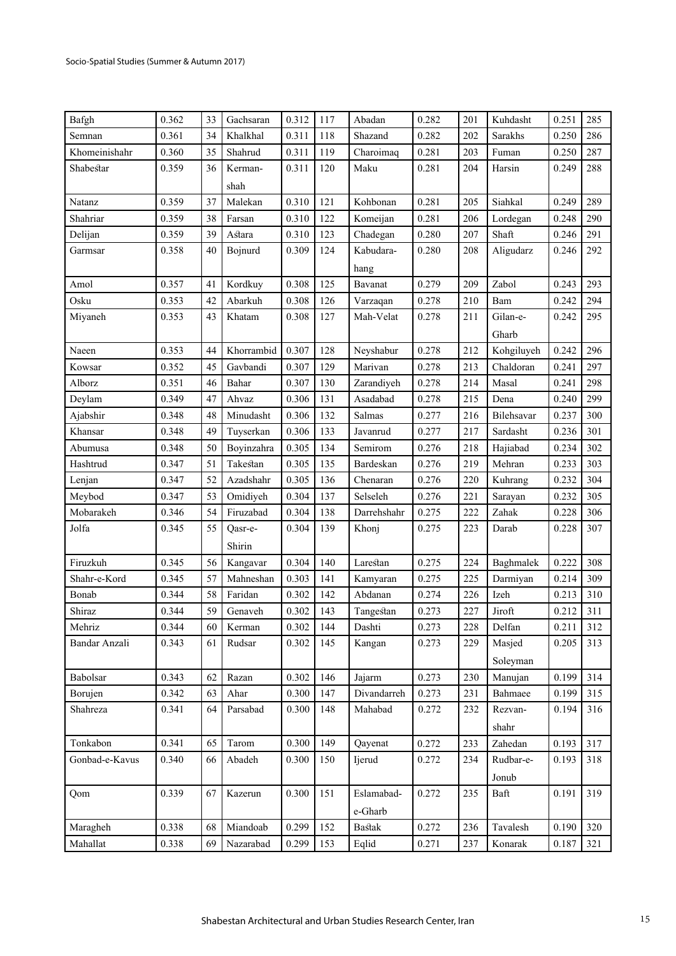| Bafgh          | 0.362 | 33 | Gachsaran  | 0.312 | 117 | Abadan        | 0.282 | 201 | Kuhdasht   | 0.251 | 285 |
|----------------|-------|----|------------|-------|-----|---------------|-------|-----|------------|-------|-----|
| Semnan         | 0.361 | 34 | Khalkhal   | 0.311 | 118 | Shazand       | 0.282 | 202 | Sarakhs    | 0.250 | 286 |
| Khomeinishahr  | 0.360 | 35 | Shahrud    | 0.311 | 119 | Charoimaq     | 0.281 | 203 | Fuman      | 0.250 | 287 |
| Shabestar      | 0.359 | 36 | Kerman-    | 0.311 | 120 | Maku          | 0.281 | 204 | Harsin     | 0.249 | 288 |
|                |       |    | shah       |       |     |               |       |     |            |       |     |
| Natanz         | 0.359 | 37 | Malekan    | 0.310 | 121 | Kohbonan      | 0.281 | 205 | Siahkal    | 0.249 | 289 |
| Shahriar       | 0.359 | 38 | Farsan     | 0.310 | 122 | Komeijan      | 0.281 | 206 | Lordegan   | 0.248 | 290 |
| Delijan        | 0.359 | 39 | Astara     | 0.310 | 123 | Chadegan      | 0.280 | 207 | Shaft      | 0.246 | 291 |
| Garmsar        | 0.358 | 40 | Bojnurd    | 0.309 | 124 | Kabudara-     | 0.280 | 208 | Aligudarz  | 0.246 | 292 |
|                |       |    |            |       |     | hang          |       |     |            |       |     |
| Amol           | 0.357 | 41 | Kordkuy    | 0.308 | 125 | Bavanat       | 0.279 | 209 | Zabol      | 0.243 | 293 |
| Osku           | 0.353 | 42 | Abarkuh    | 0.308 | 126 | Varzaqan      | 0.278 | 210 | Bam        | 0.242 | 294 |
| Miyaneh        | 0.353 | 43 | Khatam     | 0.308 | 127 | Mah-Velat     | 0.278 | 211 | Gilan-e-   | 0.242 | 295 |
|                |       |    |            |       |     |               |       |     | Gharb      |       |     |
| Naeen          | 0.353 | 44 | Khorrambid | 0.307 | 128 | Neyshabur     | 0.278 | 212 | Kohgiluyeh | 0.242 | 296 |
| Kowsar         | 0.352 | 45 | Gavbandi   | 0.307 | 129 | Marivan       | 0.278 | 213 | Chaldoran  | 0.241 | 297 |
| Alborz         | 0.351 | 46 | Bahar      | 0.307 | 130 | Zarandiyeh    | 0.278 | 214 | Masal      | 0.241 | 298 |
| Deylam         | 0.349 | 47 | Ahvaz      | 0.306 | 131 | Asadabad      | 0.278 | 215 | Dena       | 0.240 | 299 |
| Ajabshir       | 0.348 | 48 | Minudasht  | 0.306 | 132 | Salmas        | 0.277 | 216 | Bilehsavar | 0.237 | 300 |
| Khansar        | 0.348 | 49 | Tuyserkan  | 0.306 | 133 | Javanrud      | 0.277 | 217 | Sardasht   | 0.236 | 301 |
| Abumusa        | 0.348 | 50 | Boyinzahra | 0.305 | 134 | Semirom       | 0.276 | 218 | Hajiabad   | 0.234 | 302 |
| Hashtrud       | 0.347 | 51 | Takestan   | 0.305 | 135 | Bardeskan     | 0.276 | 219 | Mehran     | 0.233 | 303 |
| Lenjan         | 0.347 | 52 | Azadshahr  | 0.305 | 136 | Chenaran      | 0.276 | 220 | Kuhrang    | 0.232 | 304 |
| Meybod         | 0.347 | 53 | Omidiyeh   | 0.304 | 137 | Selseleh      | 0.276 | 221 | Sarayan    | 0.232 | 305 |
| Mobarakeh      | 0.346 | 54 | Firuzabad  | 0.304 | 138 | Darrehshahr   | 0.275 | 222 | Zahak      | 0.228 | 306 |
| Jolfa          | 0.345 | 55 | Qasr-e-    | 0.304 | 139 | Khonj         | 0.275 | 223 | Darab      | 0.228 | 307 |
|                |       |    | Shirin     |       |     |               |       |     |            |       |     |
| Firuzkuh       | 0.345 | 56 | Kangavar   | 0.304 | 140 | Larestan      | 0.275 | 224 | Baghmalek  | 0.222 | 308 |
| Shahr-e-Kord   | 0.345 | 57 | Mahneshan  | 0.303 | 141 | Kamyaran      | 0.275 | 225 | Darmiyan   | 0.214 | 309 |
| Bonab          | 0.344 | 58 | Faridan    | 0.302 | 142 | Abdanan       | 0.274 | 226 | Izeh       | 0.213 | 310 |
| Shiraz         | 0.344 | 59 | Genaveh    | 0.302 | 143 | Tangestan     | 0.273 | 227 | Jiroft     | 0.212 | 311 |
| Mehriz         | 0.344 | 60 | Kerman     | 0.302 | 144 | Dashti        | 0.273 | 228 | Delfan     | 0.211 | 312 |
| Bandar Anzali  | 0.343 | 61 | Rudsar     | 0.302 | 145 | Kangan        | 0.273 | 229 | Masjed     | 0.205 | 313 |
|                |       |    |            |       |     |               |       |     | Soleyman   |       |     |
| Babolsar       | 0.343 | 62 | Razan      | 0.302 | 146 | Jajarm        | 0.273 | 230 | Manujan    | 0.199 | 314 |
| Borujen        | 0.342 | 63 | Ahar       | 0.300 | 147 | Divandarreh   | 0.273 | 231 | Bahmaee    | 0.199 | 315 |
| Shahreza       | 0.341 | 64 | Parsabad   | 0.300 | 148 | Mahabad       | 0.272 | 232 | Rezvan-    | 0.194 | 316 |
|                |       |    |            |       |     |               |       |     | shahr      |       |     |
| Tonkabon       | 0.341 | 65 | Tarom      | 0.300 | 149 | Qayenat       | 0.272 | 233 | Zahedan    | 0.193 | 317 |
| Gonbad-e-Kavus | 0.340 | 66 | Abadeh     | 0.300 | 150 | Ijerud        | 0.272 | 234 | Rudbar-e-  | 0.193 | 318 |
|                |       |    |            |       |     |               |       |     | Jonub      |       |     |
| Qom            | 0.339 | 67 | Kazerun    | 0.300 | 151 | Eslamabad-    | 0.272 | 235 | Baft       | 0.191 | 319 |
|                |       |    |            |       |     | e-Gharb       |       |     |            |       |     |
| Maragheh       | 0.338 | 68 | Miandoab   | 0.299 | 152 | <b>Bastak</b> | 0.272 | 236 | Tavalesh   | 0.190 | 320 |
| Mahallat       | 0.338 | 69 | Nazarabad  | 0.299 | 153 | Eqlid         | 0.271 | 237 | Konarak    | 0.187 | 321 |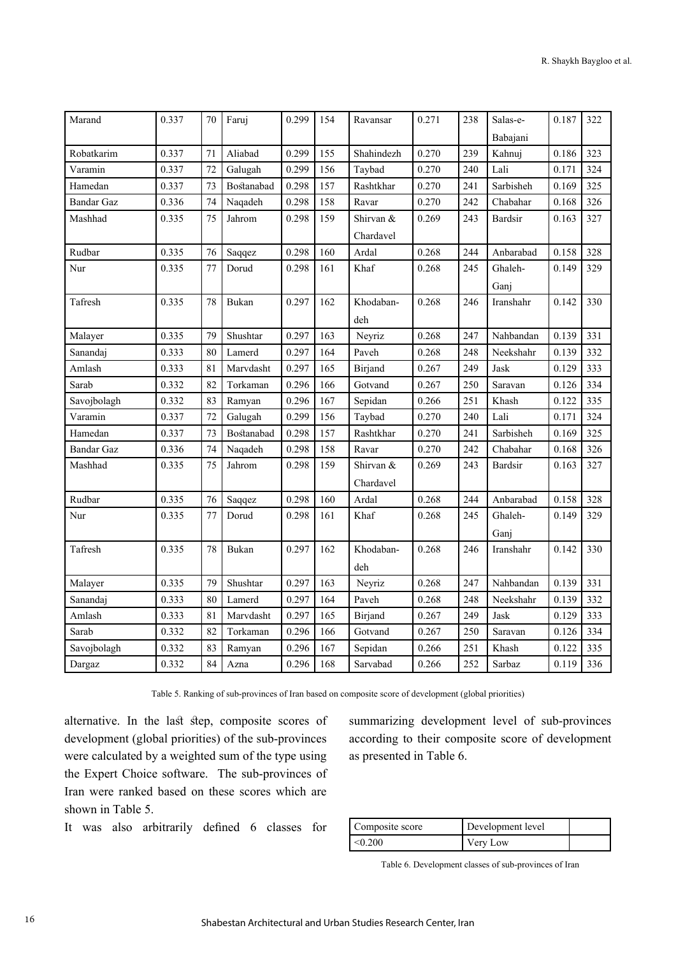| Marand            | 0.337 | 70 | Faruj      | 0.299 | 154 | Ravansar   | 0.271 | 238 | Salas-e-       | 0.187 | 322 |
|-------------------|-------|----|------------|-------|-----|------------|-------|-----|----------------|-------|-----|
|                   |       |    |            |       |     |            |       |     | Babajani       |       |     |
| Robatkarim        | 0.337 | 71 | Aliabad    | 0.299 | 155 | Shahindezh | 0.270 | 239 | Kahnuj         | 0.186 | 323 |
| Varamin           | 0.337 | 72 | Galugah    | 0.299 | 156 | Taybad     | 0.270 | 240 | Lali           | 0.171 | 324 |
| Hamedan           | 0.337 | 73 | Bostanabad | 0.298 | 157 | Rashtkhar  | 0.270 | 241 | Sarbisheh      | 0.169 | 325 |
| <b>Bandar Gaz</b> | 0.336 | 74 | Naqadeh    | 0.298 | 158 | Ravar      | 0.270 | 242 | Chabahar       | 0.168 | 326 |
| Mashhad           | 0.335 | 75 | Jahrom     | 0.298 | 159 | Shirvan &  | 0.269 | 243 | <b>Bardsir</b> | 0.163 | 327 |
|                   |       |    |            |       |     | Chardavel  |       |     |                |       |     |
| Rudbar            | 0.335 | 76 | Saqqez     | 0.298 | 160 | Ardal      | 0.268 | 244 | Anbarabad      | 0.158 | 328 |
| Nur               | 0.335 | 77 | Dorud      | 0.298 | 161 | Khaf       | 0.268 | 245 | Ghaleh-        | 0.149 | 329 |
|                   |       |    |            |       |     |            |       |     | Ganj           |       |     |
| Tafresh           | 0.335 | 78 | Bukan      | 0.297 | 162 | Khodaban-  | 0.268 | 246 | Iranshahr      | 0.142 | 330 |
|                   |       |    |            |       |     | deh        |       |     |                |       |     |
| Malayer           | 0.335 | 79 | Shushtar   | 0.297 | 163 | Neyriz     | 0.268 | 247 | Nahbandan      | 0.139 | 331 |
| Sanandaj          | 0.333 | 80 | Lamerd     | 0.297 | 164 | Paveh      | 0.268 | 248 | Neekshahr      | 0.139 | 332 |
| Amlash            | 0.333 | 81 | Marvdasht  | 0.297 | 165 | Birjand    | 0.267 | 249 | Jask           | 0.129 | 333 |
| Sarab             | 0.332 | 82 | Torkaman   | 0.296 | 166 | Gotvand    | 0.267 | 250 | Saravan        | 0.126 | 334 |
| Savojbolagh       | 0.332 | 83 | Ramyan     | 0.296 | 167 | Sepidan    | 0.266 | 251 | Khash          | 0.122 | 335 |
| Varamin           | 0.337 | 72 | Galugah    | 0.299 | 156 | Taybad     | 0.270 | 240 | Lali           | 0.171 | 324 |
| Hamedan           | 0.337 | 73 | Bostanabad | 0.298 | 157 | Rashtkhar  | 0.270 | 241 | Sarbisheh      | 0.169 | 325 |
| Bandar Gaz        | 0.336 | 74 | Naqadeh    | 0.298 | 158 | Ravar      | 0.270 | 242 | Chabahar       | 0.168 | 326 |
| Mashhad           | 0.335 | 75 | Jahrom     | 0.298 | 159 | Shirvan &  | 0.269 | 243 | <b>Bardsir</b> | 0.163 | 327 |
|                   |       |    |            |       |     | Chardavel  |       |     |                |       |     |
| Rudbar            | 0.335 | 76 | Saqqez     | 0.298 | 160 | Ardal      | 0.268 | 244 | Anbarabad      | 0.158 | 328 |
| Nur               | 0.335 | 77 | Dorud      | 0.298 | 161 | Khaf       | 0.268 | 245 | Ghaleh-        | 0.149 | 329 |
|                   |       |    |            |       |     |            |       |     | Ganj           |       |     |
| Tafresh           | 0.335 | 78 | Bukan      | 0.297 | 162 | Khodaban-  | 0.268 | 246 | Iranshahr      | 0.142 | 330 |
|                   |       |    |            |       |     | deh        |       |     |                |       |     |
| Malayer           | 0.335 | 79 | Shushtar   | 0.297 | 163 | Neyriz     | 0.268 | 247 | Nahbandan      | 0.139 | 331 |
| Sanandaj          | 0.333 | 80 | Lamerd     | 0.297 | 164 | Paveh      | 0.268 | 248 | Neekshahr      | 0.139 | 332 |
| Amlash            | 0.333 | 81 | Marvdasht  | 0.297 | 165 | Birjand    | 0.267 | 249 | Jask           | 0.129 | 333 |
| Sarab             | 0.332 | 82 | Torkaman   | 0.296 | 166 | Gotvand    | 0.267 | 250 | Saravan        | 0.126 | 334 |
| Savojbolagh       | 0.332 | 83 | Ramyan     | 0.296 | 167 | Sepidan    | 0.266 | 251 | Khash          | 0.122 | 335 |
| Dargaz            | 0.332 | 84 | Azna       | 0.296 | 168 | Sarvabad   | 0.266 | 252 | Sarbaz         | 0.119 | 336 |

Table 5. Ranking of sub-provinces of Iran based on composite score of development (global priorities)

alternative. In the last step, composite scores of development (global priorities) of the sub-provinces were calculated by a weighted sum of the type using the Expert Choice software. The sub-provinces of Iran were ranked based on these scores which are shown in Table 5.

It was also arbitrarily defined 6 classes for

summarizing development level of sub-provinces according to their composite score of development as presented in Table 6.

| Composite score | Development level |  |
|-----------------|-------------------|--|
| < 0.200         | Very Low          |  |

Table 6. Development classes of sub-provinces of Iran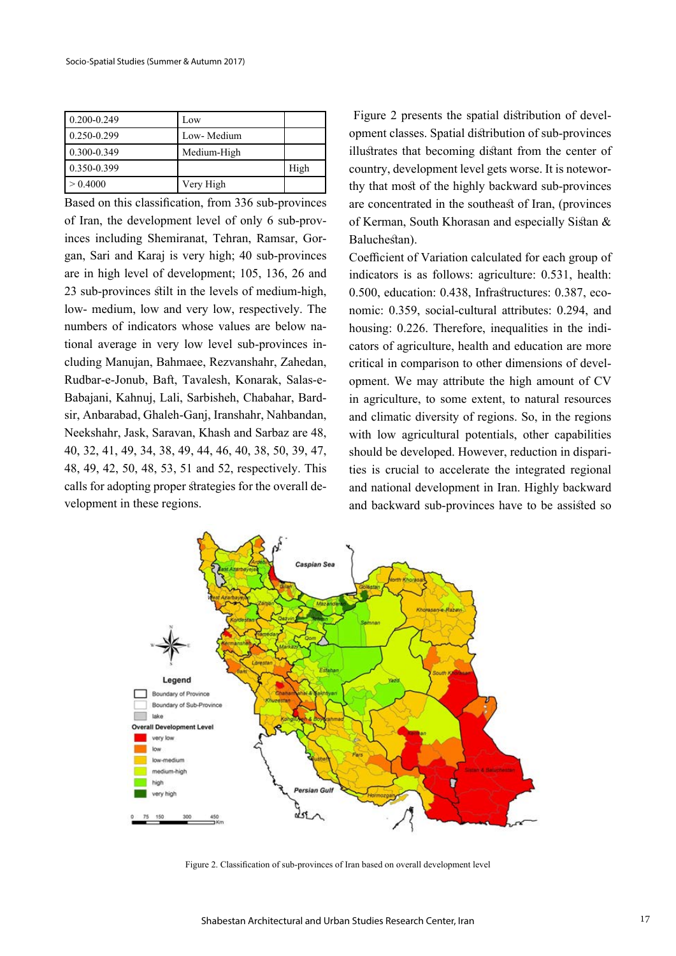| $0.200 - 0.249$ | Low         |      |
|-----------------|-------------|------|
| 0.250-0.299     | Low- Medium |      |
| 0.300-0.349     | Medium-High |      |
| 0.350-0.399     |             | High |
| > 0.4000        | Very High   |      |

Based on this classification, from 336 sub-provinces of Iran, the development level of only 6 sub-provinces including Shemiranat, Tehran, Ramsar, Gorgan, Sari and Karaj is very high; 40 sub-provinces are in high level of development; 105, 136, 26 and 23 sub-provinces stilt in the levels of medium-high, low- medium, low and very low, respectively. The numbers of indicators whose values are below national average in very low level sub-provinces including Manujan, Bahmaee, Rezvanshahr, Zahedan, Rudbar-e-Jonub, Baft, Tavalesh, Konarak, Salas-e-Babajani, Kahnuj, Lali, Sarbisheh, Chabahar, Bardsir, Anbarabad, Ghaleh-Ganj, Iranshahr, Nahbandan, Neekshahr, Jask, Saravan, Khash and Sarbaz are 48, 40, 32, 41, 49, 34, 38, 49, 44, 46, 40, 38, 50, 39, 47, 48, 49, 42, 50, 48, 53, 51 and 52, respectively. This calls for adopting proper strategies for the overall development in these regions.

 Figure 2 presents the spatial distribution of development classes. Spatial distribution of sub-provinces illustrates that becoming distant from the center of country, development level gets worse. It is noteworthy that most of the highly backward sub-provinces are concentrated in the southeast of Iran, (provinces of Kerman, South Khorasan and especially Sistan & Baluchestan).

Coefficient of Variation calculated for each group of indicators is as follows: agriculture: 0.531, health: 0.500, education: 0.438, Infrastructures: 0.387, economic: 0.359, social-cultural attributes: 0.294, and housing: 0.226. Therefore, inequalities in the indicators of agriculture, health and education are more critical in comparison to other dimensions of development. We may attribute the high amount of CV in agriculture, to some extent, to natural resources and climatic diversity of regions. So, in the regions with low agricultural potentials, other capabilities should be developed. However, reduction in disparities is crucial to accelerate the integrated regional and national development in Iran. Highly backward and backward sub-provinces have to be assisted so



Figure 2. Classification of sub-provinces of Iran based on overall development level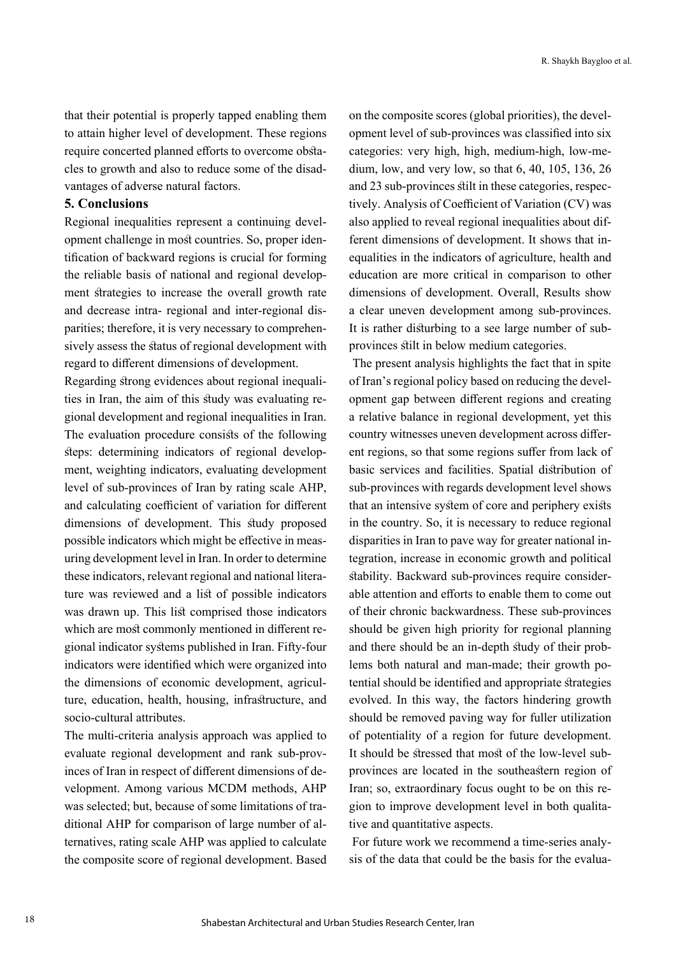that their potential is properly tapped enabling them to attain higher level of development. These regions require concerted planned efforts to overcome obstacles to growth and also to reduce some of the disadvantages of adverse natural factors.

### **5. Conclusions**

Regional inequalities represent a continuing development challenge in most countries. So, proper identification of backward regions is crucial for forming the reliable basis of national and regional development strategies to increase the overall growth rate and decrease intra- regional and inter-regional disparities; therefore, it is very necessary to comprehensively assess the status of regional development with regard to different dimensions of development.

Regarding strong evidences about regional inequalities in Iran, the aim of this study was evaluating regional development and regional inequalities in Iran. The evaluation procedure consists of the following steps: determining indicators of regional development, weighting indicators, evaluating development level of sub-provinces of Iran by rating scale AHP, and calculating coefficient of variation for different dimensions of development. This study proposed possible indicators which might be effective in measuring development level in Iran. In order to determine these indicators, relevant regional and national literature was reviewed and a list of possible indicators was drawn up. This list comprised those indicators which are most commonly mentioned in different regional indicator systems published in Iran. Fifty-four indicators were identified which were organized into the dimensions of economic development, agriculture, education, health, housing, infrastructure, and socio-cultural attributes.

The multi-criteria analysis approach was applied to evaluate regional development and rank sub-provinces of Iran in respect of different dimensions of development. Among various MCDM methods, AHP was selected; but, because of some limitations of traditional AHP for comparison of large number of alternatives, rating scale AHP was applied to calculate the composite score of regional development. Based on the composite scores (global priorities), the development level of sub-provinces was classified into six categories: very high, high, medium-high, low-medium, low, and very low, so that 6, 40, 105, 136, 26 and 23 sub-provinces stilt in these categories, respectively. Analysis of Coefficient of Variation (CV) was also applied to reveal regional inequalities about different dimensions of development. It shows that inequalities in the indicators of agriculture, health and education are more critical in comparison to other dimensions of development. Overall, Results show a clear uneven development among sub-provinces. It is rather disturbing to a see large number of subprovinces stilt in below medium categories.

 The present analysis highlights the fact that in spite of Iran's regional policy based on reducing the development gap between different regions and creating a relative balance in regional development, yet this country witnesses uneven development across different regions, so that some regions suffer from lack of basic services and facilities. Spatial distribution of sub-provinces with regards development level shows that an intensive system of core and periphery exists in the country. So, it is necessary to reduce regional disparities in Iran to pave way for greater national integration, increase in economic growth and political stability. Backward sub-provinces require considerable attention and efforts to enable them to come out of their chronic backwardness. These sub-provinces should be given high priority for regional planning and there should be an in-depth study of their problems both natural and man-made; their growth potential should be identified and appropriate strategies evolved. In this way, the factors hindering growth should be removed paving way for fuller utilization of potentiality of a region for future development. It should be stressed that most of the low-level subprovinces are located in the southeastern region of Iran; so, extraordinary focus ought to be on this region to improve development level in both qualitative and quantitative aspects.

 For future work we recommend a time-series analysis of the data that could be the basis for the evalua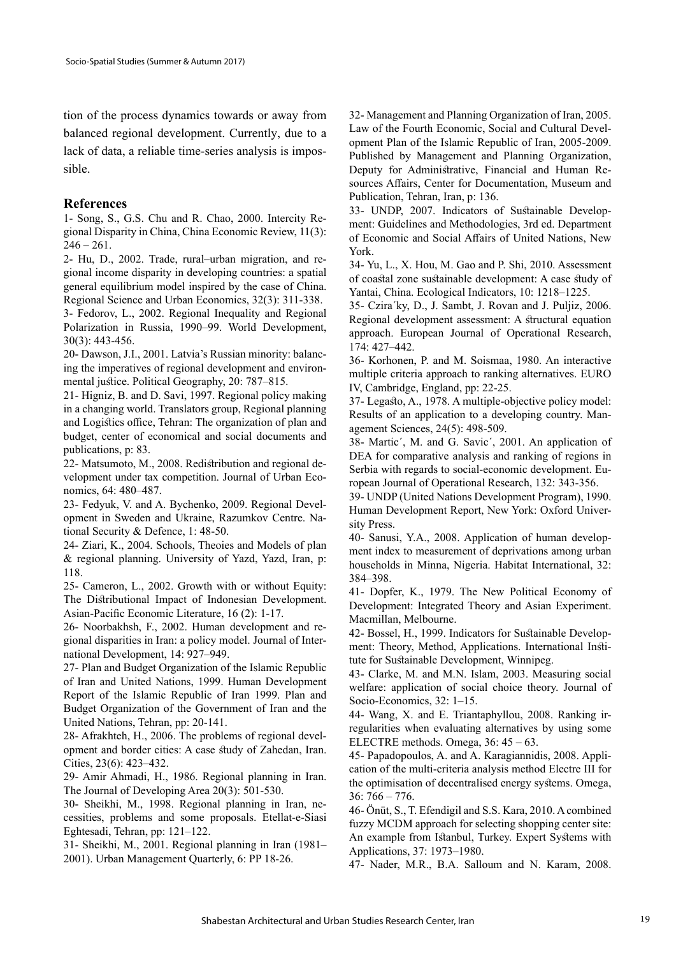tion of the process dynamics towards or away from balanced regional development. Currently, due to a lack of data, a reliable time-series analysis is impossible.

#### **References**

1- Song, S., G.S. Chu and R. Chao, 2000. Intercity Regional Disparity in China, China Economic Review, 11(3):  $246 - 261.$ 

2- Hu, D., 2002. Trade, rural–urban migration, and regional income disparity in developing countries: a spatial general equilibrium model inspired by the case of China. Regional Science and Urban Economics, 32(3): 311-338.

3- Fedorov, L., 2002. Regional Inequality and Regional Polarization in Russia, 1990–99. World Development, 30(3): 443-456.

20- Dawson, J.I., 2001. Latvia's Russian minority: balancing the imperatives of regional development and environmental justice. Political Geography, 20: 787–815.

21- Higniz, B. and D. Savi, 1997. Regional policy making in a changing world. Translators group, Regional planning and Logistics office, Tehran: The organization of plan and budget, center of economical and social documents and publications, p: 83.

22- Matsumoto, M., 2008. Redistribution and regional development under tax competition. Journal of Urban Economics, 64: 480–487.

23- Fedyuk, V. and A. Bychenko, 2009. Regional Development in Sweden and Ukraine, Razumkov Centre. National Security & Defence, 1: 48-50.

24- Ziari, K., 2004. Schools, Theoies and Models of plan & regional planning. University of Yazd, Yazd, Iran, p: 118.

25- Cameron, L., 2002. Growth with or without Equity: The Distributional Impact of Indonesian Development. Asian-Pacific Economic Literature, 16 (2): 1-17.

26- Noorbakhsh, F., 2002. Human development and regional disparities in Iran: a policy model. Journal of International Development, 14: 927–949.

27- Plan and Budget Organization of the Islamic Republic of Iran and United Nations, 1999. Human Development Report of the Islamic Republic of Iran 1999. Plan and Budget Organization of the Government of Iran and the United Nations, Tehran, pp: 20-141.

28- Afrakhteh, H., 2006. The problems of regional development and border cities: A case study of Zahedan, Iran. Cities, 23(6): 423–432.

29- Amir Ahmadi, H., 1986. Regional planning in Iran. The Journal of Developing Area 20(3): 501-530.

30- Sheikhi, M., 1998. Regional planning in Iran, necessities, problems and some proposals. Etellat-e-Siasi Eghtesadi, Tehran, pp: 121–122.

31- Sheikhi, M., 2001. Regional planning in Iran (1981– 2001). Urban Management Quarterly, 6: PP 18-26.

32- Management and Planning Organization of Iran, 2005. Law of the Fourth Economic, Social and Cultural Development Plan of the Islamic Republic of Iran, 2005-2009. Published by Management and Planning Organization, Deputy for Administrative, Financial and Human Resources Affairs, Center for Documentation, Museum and Publication, Tehran, Iran, p: 136.

33- UNDP, 2007. Indicators of Sustainable Development: Guidelines and Methodologies, 3rd ed. Department of Economic and Social Affairs of United Nations, New York.

34- Yu, L., X. Hou, M. Gao and P. Shi, 2010. Assessment of coastal zone sustainable development: A case study of Yantai, China. Ecological Indicators, 10: 1218–1225.

35- Czira´ky, D., J. Sambt, J. Rovan and J. Puljiz, 2006. Regional development assessment: A structural equation approach. European Journal of Operational Research, 174: 427–442.

36- Korhonen, P. and M. Soismaa, 1980. An interactive multiple criteria approach to ranking alternatives. EURO IV, Cambridge, England, pp: 22-25.

37- Legasto, A., 1978. A multiple-objective policy model: Results of an application to a developing country. Management Sciences, 24(5): 498-509.

38- Martic´, M. and G. Savic´, 2001. An application of DEA for comparative analysis and ranking of regions in Serbia with regards to social-economic development. European Journal of Operational Research, 132: 343-356.

39- UNDP (United Nations Development Program), 1990. Human Development Report, New York: Oxford University Press.

40- Sanusi, Y.A., 2008. Application of human development index to measurement of deprivations among urban households in Minna, Nigeria. Habitat International, 32: 384–398.

41- Dopfer, K., 1979. The New Political Economy of Development: Integrated Theory and Asian Experiment. Macmillan, Melbourne.

42- Bossel, H., 1999. Indicators for Sustainable Development: Theory, Method, Applications. International Institute for Sustainable Development, Winnipeg.

43- Clarke, M. and M.N. Islam, 2003. Measuring social welfare: application of social choice theory. Journal of Socio-Economics, 32: 1–15.

44- Wang, X. and E. Triantaphyllou, 2008. Ranking irregularities when evaluating alternatives by using some ELECTRE methods. Omega, 36: 45 – 63.

45- Papadopoulos, A. and A. Karagiannidis, 2008. Application of the multi-criteria analysis method Electre III for the optimisation of decentralised energy systems. Omega, 36: 766 – 776.

46- Önüt, S., T. Efendigil and S.S. Kara, 2010. A combined fuzzy MCDM approach for selecting shopping center site: An example from Istanbul, Turkey. Expert Systems with Applications, 37: 1973–1980.

47- Nader, M.R., B.A. Salloum and N. Karam, 2008.